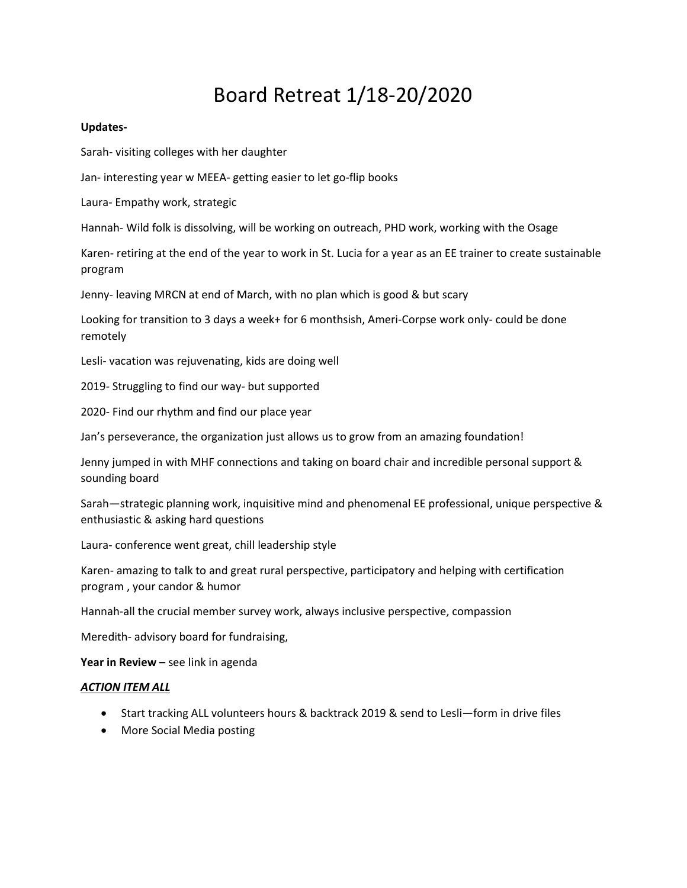# Board Retreat 1/18-20/2020

### Updates-

Sarah- visiting colleges with her daughter

Jan- interesting year w MEEA- getting easier to let go-flip books

Laura- Empathy work, strategic

Hannah- Wild folk is dissolving, will be working on outreach, PHD work, working with the Osage

Karen- retiring at the end of the year to work in St. Lucia for a year as an EE trainer to create sustainable program

Jenny- leaving MRCN at end of March, with no plan which is good & but scary

Looking for transition to 3 days a week+ for 6 monthsish, Ameri-Corpse work only- could be done remotely

Lesli- vacation was rejuvenating, kids are doing well

2019- Struggling to find our way- but supported

2020- Find our rhythm and find our place year

Jan's perseverance, the organization just allows us to grow from an amazing foundation!

Jenny jumped in with MHF connections and taking on board chair and incredible personal support & sounding board

Sarah—strategic planning work, inquisitive mind and phenomenal EE professional, unique perspective & enthusiastic & asking hard questions

Laura- conference went great, chill leadership style

Karen- amazing to talk to and great rural perspective, participatory and helping with certification program , your candor & humor

Hannah-all the crucial member survey work, always inclusive perspective, compassion

Meredith- advisory board for fundraising,

Year in Review  $-$  see link in agenda

#### ACTION ITEM ALL

- Start tracking ALL volunteers hours & backtrack 2019 & send to Lesli—form in drive files
- More Social Media posting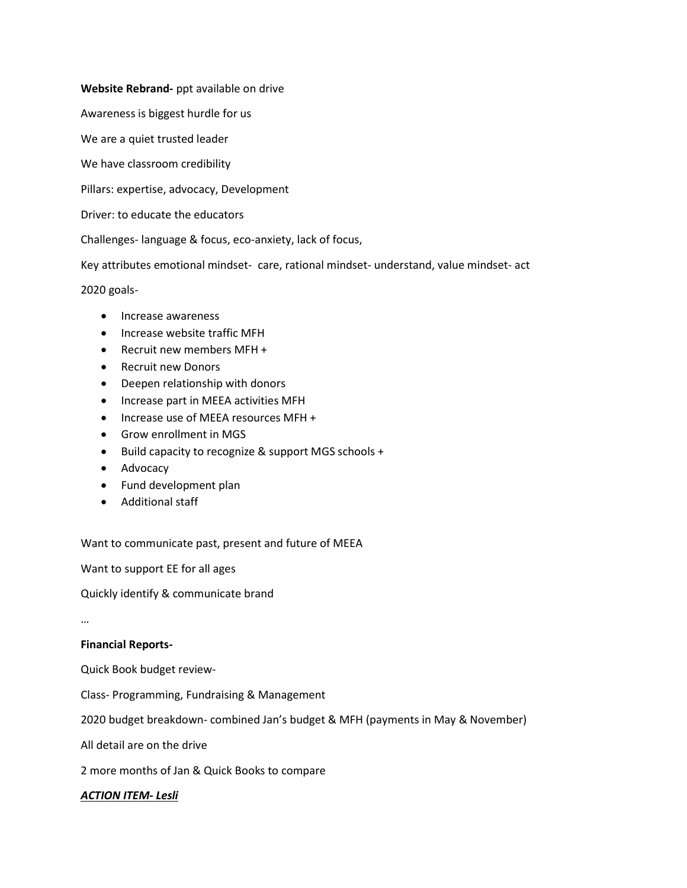# Website Rebrand- ppt available on drive

Awareness is biggest hurdle for us

We are a quiet trusted leader

We have classroom credibility

Pillars: expertise, advocacy, Development

Driver: to educate the educators

Challenges- language & focus, eco-anxiety, lack of focus,

Key attributes emotional mindset- care, rational mindset- understand, value mindset- act

2020 goals-

- Increase awareness
- Increase website traffic MFH
- Recruit new members MFH +
- Recruit new Donors
- Deepen relationship with donors
- Increase part in MEEA activities MFH
- Increase use of MEEA resources MFH +
- Grow enrollment in MGS
- Build capacity to recognize & support MGS schools +
- Advocacy
- Fund development plan
- Additional staff

Want to communicate past, present and future of MEEA

Want to support EE for all ages

Quickly identify & communicate brand

…

#### Financial Reports-

Quick Book budget review-

Class- Programming, Fundraising & Management

2020 budget breakdown- combined Jan's budget & MFH (payments in May & November)

All detail are on the drive

2 more months of Jan & Quick Books to compare

## ACTION ITEM- Lesli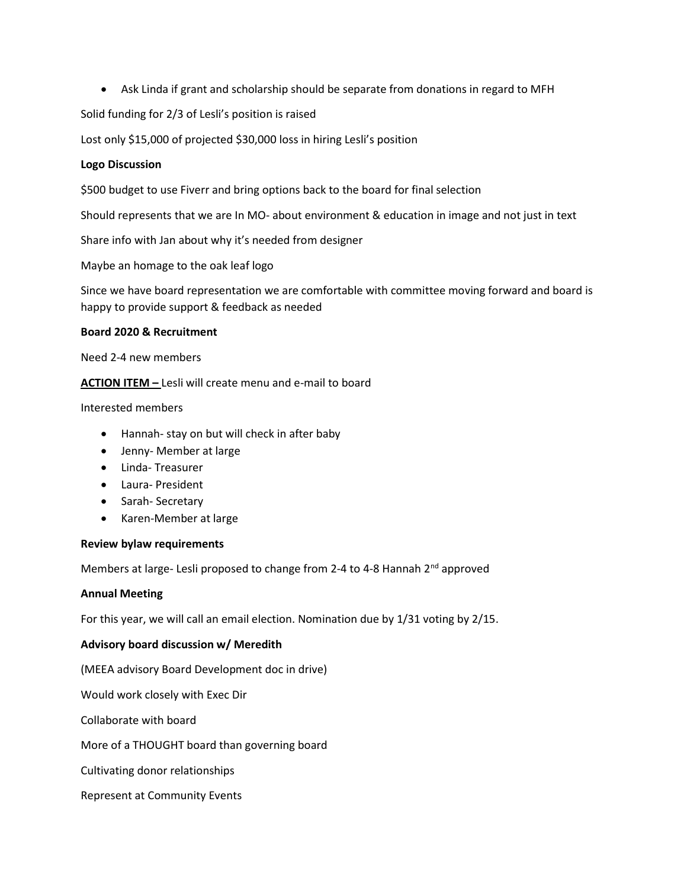Ask Linda if grant and scholarship should be separate from donations in regard to MFH

Solid funding for 2/3 of Lesli's position is raised

Lost only \$15,000 of projected \$30,000 loss in hiring Lesli's position

# Logo Discussion

\$500 budget to use Fiverr and bring options back to the board for final selection

Should represents that we are In MO- about environment & education in image and not just in text

Share info with Jan about why it's needed from designer

Maybe an homage to the oak leaf logo

Since we have board representation we are comfortable with committee moving forward and board is happy to provide support & feedback as needed

# Board 2020 & Recruitment

Need 2-4 new members

ACTION ITEM - Lesli will create menu and e-mail to board

Interested members

- Hannah- stay on but will check in after baby
- Jenny- Member at large
- Linda- Treasurer
- Laura- President
- Sarah- Secretary
- Karen-Member at large

#### Review bylaw requirements

Members at large- Lesli proposed to change from 2-4 to 4-8 Hannah 2<sup>nd</sup> approved

#### Annual Meeting

For this year, we will call an email election. Nomination due by 1/31 voting by 2/15.

# Advisory board discussion w/ Meredith

(MEEA advisory Board Development doc in drive)

Would work closely with Exec Dir

Collaborate with board

More of a THOUGHT board than governing board

Cultivating donor relationships

Represent at Community Events